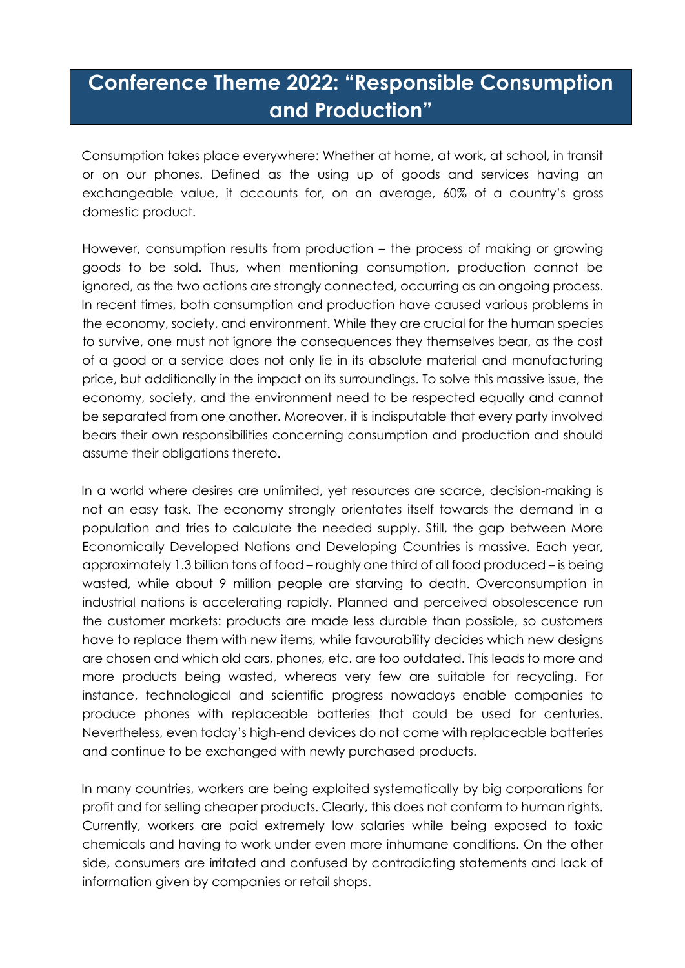## **Conference Theme 2022: "Responsible Consumption and Production"**

Consumption takes place everywhere: Whether at home, at work, at school, in transit or on our phones. Defined as the using up of goods and services having an exchangeable value, it accounts for, on an average, 60% of a country's gross domestic product.

However, consumption results from production – the process of making or growing goods to be sold. Thus, when mentioning consumption, production cannot be ignored, as the two actions are strongly connected, occurring as an ongoing process. In recent times, both consumption and production have caused various problems in the economy, society, and environment. While they are crucial for the human species to survive, one must not ignore the consequences they themselves bear, as the cost of a good or a service does not only lie in its absolute material and manufacturing price, but additionally in the impact on its surroundings. To solve this massive issue, the economy, society, and the environment need to be respected equally and cannot be separated from one another. Moreover, it is indisputable that every party involved bears their own responsibilities concerning consumption and production and should assume their obligations thereto.

In a world where desires are unlimited, yet resources are scarce, decision-making is not an easy task. The economy strongly orientates itself towards the demand in a population and tries to calculate the needed supply. Still, the gap between More Economically Developed Nations and Developing Countries is massive. Each year, approximately 1.3 billion tons of food – roughly one third of all food produced – is being wasted, while about 9 million people are starving to death. Overconsumption in industrial nations is accelerating rapidly. Planned and perceived obsolescence run the customer markets: products are made less durable than possible, so customers have to replace them with new items, while favourability decides which new designs are chosen and which old cars, phones, etc. are too outdated. This leads to more and more products being wasted, whereas very few are suitable for recycling. For instance, technological and scientific progress nowadays enable companies to produce phones with replaceable batteries that could be used for centuries. Nevertheless, even today's high-end devices do not come with replaceable batteries and continue to be exchanged with newly purchased products.

In many countries, workers are being exploited systematically by big corporations for profit and for selling cheaper products. Clearly, this does not conform to human rights. Currently, workers are paid extremely low salaries while being exposed to toxic chemicals and having to work under even more inhumane conditions. On the other side, consumers are irritated and confused by contradicting statements and lack of information given by companies or retail shops.